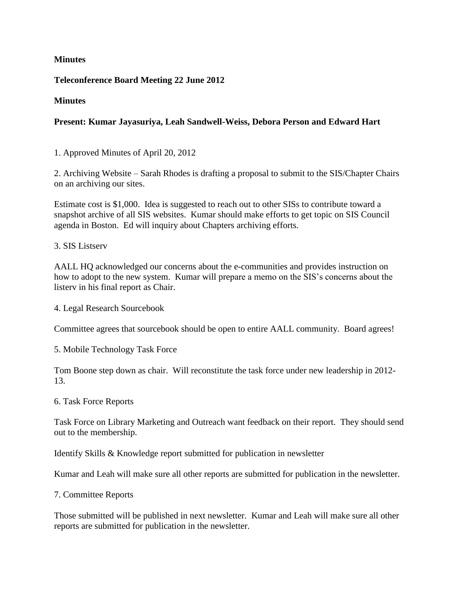### **Minutes**

### **Teleconference Board Meeting 22 June 2012**

## **Minutes**

# **Present: Kumar Jayasuriya, Leah Sandwell-Weiss, Debora Person and Edward Hart**

1. Approved Minutes of April 20, 2012

2. Archiving Website – Sarah Rhodes is drafting a proposal to submit to the SIS/Chapter Chairs on an archiving our sites.

Estimate cost is \$1,000. Idea is suggested to reach out to other SISs to contribute toward a snapshot archive of all SIS websites. Kumar should make efforts to get topic on SIS Council agenda in Boston. Ed will inquiry about Chapters archiving efforts.

### 3. SIS Listserv

AALL HQ acknowledged our concerns about the e-communities and provides instruction on how to adopt to the new system. Kumar will prepare a memo on the SIS's concerns about the listerv in his final report as Chair.

4. Legal Research Sourcebook

Committee agrees that sourcebook should be open to entire AALL community. Board agrees!

5. Mobile Technology Task Force

Tom Boone step down as chair. Will reconstitute the task force under new leadership in 2012- 13.

6. Task Force Reports

Task Force on Library Marketing and Outreach want feedback on their report. They should send out to the membership.

Identify Skills & Knowledge report submitted for publication in newsletter

Kumar and Leah will make sure all other reports are submitted for publication in the newsletter.

7. Committee Reports

Those submitted will be published in next newsletter. Kumar and Leah will make sure all other reports are submitted for publication in the newsletter.